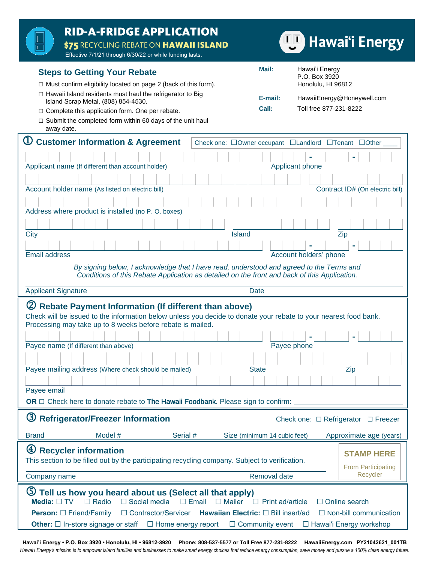| <b>RID-A-FRIDGE APPLICATION</b><br>\$75 RECYCLING REBATE ON HAWAII ISLAND<br>Effective 7/1/21 through 6/30/22 or while funding lasts.                                                                                            |                              | <b>Hawai'i Energy</b>                                      |
|----------------------------------------------------------------------------------------------------------------------------------------------------------------------------------------------------------------------------------|------------------------------|------------------------------------------------------------|
| <b>Steps to Getting Your Rebate</b><br>$\Box$ Must confirm eligibility located on page 2 (back of this form).                                                                                                                    | Mail:                        | Hawai'i Energy<br>P.O. Box 3920<br>Honolulu, HI 96812      |
| $\Box$ Hawaii Island residents must haul the refrigerator to Big<br>Island Scrap Metal, (808) 854-4530.<br>□ Complete this application form. One per rebate.<br>$\Box$ Submit the completed form within 60 days of the unit haul | E-mail:<br>Call:             | HawaiiEnergy@Honeywell.com<br>Toll free 877-231-8222       |
| away date.                                                                                                                                                                                                                       |                              |                                                            |
| $\mathbb U$<br><b>Customer Information &amp; Agreement</b>                                                                                                                                                                       |                              | Check one: □Owner occupant □Landlord □Tenant □Other        |
|                                                                                                                                                                                                                                  |                              |                                                            |
| Applicant name (If different than account holder)                                                                                                                                                                                |                              | Applicant phone                                            |
| Account holder name (As listed on electric bill)                                                                                                                                                                                 |                              | Contract ID# (On electric bill)                            |
|                                                                                                                                                                                                                                  |                              |                                                            |
| Address where product is installed (no P. O. boxes)                                                                                                                                                                              |                              |                                                            |
|                                                                                                                                                                                                                                  |                              |                                                            |
| City<br><b>Island</b>                                                                                                                                                                                                            |                              | Zip                                                        |
| <b>Email address</b>                                                                                                                                                                                                             |                              | Account holders' phone                                     |
| By signing below, I acknowledge that I have read, understood and agreed to the Terms and                                                                                                                                         |                              |                                                            |
| Conditions of this Rebate Application as detailed on the front and back of this Application.                                                                                                                                     |                              |                                                            |
| <b>Applicant Signature</b>                                                                                                                                                                                                       | <b>Date</b>                  |                                                            |
| (2) Rebate Payment Information (If different than above)                                                                                                                                                                         |                              |                                                            |
|                                                                                                                                                                                                                                  |                              |                                                            |
| Check will be issued to the information below unless you decide to donate your rebate to your nearest food bank.                                                                                                                 |                              |                                                            |
| Processing may take up to 8 weeks before rebate is mailed.                                                                                                                                                                       |                              |                                                            |
| Payee name (If different than above)                                                                                                                                                                                             |                              | Payee phone                                                |
|                                                                                                                                                                                                                                  |                              |                                                            |
| Payee mailing address (Where check should be mailed)                                                                                                                                                                             | <b>State</b>                 | Zip                                                        |
|                                                                                                                                                                                                                                  |                              |                                                            |
| Payee email                                                                                                                                                                                                                      |                              |                                                            |
| OR $\Box$ Check here to donate rebate to The Hawaii Foodbank. Please sign to confirm:<br>3 Refrigerator/Freezer Information                                                                                                      |                              | Check one: $\Box$ Refrigerator $\Box$ Freezer              |
| Model #<br>Serial #<br><b>Brand</b>                                                                                                                                                                                              | Size (minimum 14 cubic feet) | Approximate age (years)                                    |
|                                                                                                                                                                                                                                  |                              |                                                            |
| $\bigcirc$<br><b>Recycler information</b><br>This section to be filled out by the participating recycling company. Subject to verification.                                                                                      |                              | <b>STAMP HERE</b>                                          |
| Company name                                                                                                                                                                                                                     | Removal date                 | <b>From Participating</b><br>Recycler                      |
| 5 Tell us how you heard about us (Select all that apply)<br>$\Box$ Radio<br>$\Box$ Social media<br>Media: $\Box$ TV<br>$\Box$ Email<br>Mailer                                                                                    | $\Box$ Print ad/article      | $\Box$ Online search                                       |
| <b>Person:</b> □ Friend/Family<br>□ Contractor/Servicer<br>Hawaiian Electric: [ Bill insert/ad<br><b>Other:</b> $\Box$ In-store signage or staff<br>$\Box$ Home energy report                                                    | $\Box$ Community event       | $\Box$ Non-bill communication<br>□ Hawai'i Energy workshop |

**Hawai'i Energy • P.O. Box 3920 • Honolulu, HI • 96812-3920 Phone: 808-537-5577 or Toll Free 877-231-8222 HawaiiEnergy.com PY21042621\_001TB** *Hawai'i Energy's mission is to empower island families and businesses to make smart energy choices that reduce energy consumption, save money and pursue a 100% clean energy future.*